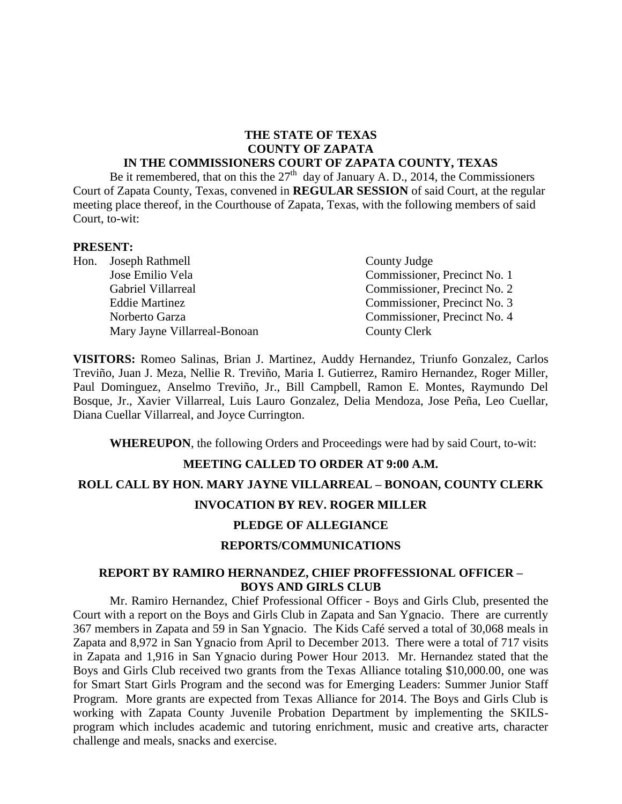# **THE STATE OF TEXAS COUNTY OF ZAPATA**

#### **IN THE COMMISSIONERS COURT OF ZAPATA COUNTY, TEXAS**

Be it remembered, that on this the  $27<sup>th</sup>$  day of January A. D., 2014, the Commissioners Court of Zapata County, Texas, convened in **REGULAR SESSION** of said Court, at the regular meeting place thereof, in the Courthouse of Zapata, Texas, with the following members of said Court, to-wit:

#### **PRESENT:**

| Hon. Joseph Rathmell         | County Judge                 |  |
|------------------------------|------------------------------|--|
| Jose Emilio Vela             | Commissioner, Precinct No. 1 |  |
| Gabriel Villarreal           | Commissioner, Precinct No. 2 |  |
| <b>Eddie Martinez</b>        | Commissioner, Precinct No. 3 |  |
| Norberto Garza               | Commissioner, Precinct No. 4 |  |
| Mary Jayne Villarreal-Bonoan | <b>County Clerk</b>          |  |

**VISITORS:** Romeo Salinas, Brian J. Martinez, Auddy Hernandez, Triunfo Gonzalez, Carlos Treviño, Juan J. Meza, Nellie R. Treviño, Maria I. Gutierrez, Ramiro Hernandez, Roger Miller, Paul Dominguez, Anselmo Treviño, Jr., Bill Campbell, Ramon E. Montes, Raymundo Del Bosque, Jr., Xavier Villarreal, Luis Lauro Gonzalez, Delia Mendoza, Jose Peña, Leo Cuellar, Diana Cuellar Villarreal, and Joyce Currington.

**WHEREUPON**, the following Orders and Proceedings were had by said Court, to-wit:

#### **MEETING CALLED TO ORDER AT 9:00 A.M.**

#### **ROLL CALL BY HON. MARY JAYNE VILLARREAL – BONOAN, COUNTY CLERK**

#### **INVOCATION BY REV. ROGER MILLER**

### **PLEDGE OF ALLEGIANCE**

#### **REPORTS/COMMUNICATIONS**

### **REPORT BY RAMIRO HERNANDEZ, CHIEF PROFFESSIONAL OFFICER – BOYS AND GIRLS CLUB**

Mr. Ramiro Hernandez, Chief Professional Officer - Boys and Girls Club, presented the Court with a report on the Boys and Girls Club in Zapata and San Ygnacio. There are currently 367 members in Zapata and 59 in San Ygnacio. The Kids Café served a total of 30,068 meals in Zapata and 8,972 in San Ygnacio from April to December 2013. There were a total of 717 visits in Zapata and 1,916 in San Ygnacio during Power Hour 2013. Mr. Hernandez stated that the Boys and Girls Club received two grants from the Texas Alliance totaling \$10,000.00, one was for Smart Start Girls Program and the second was for Emerging Leaders: Summer Junior Staff Program. More grants are expected from Texas Alliance for 2014. The Boys and Girls Club is working with Zapata County Juvenile Probation Department by implementing the SKILSprogram which includes academic and tutoring enrichment, music and creative arts, character challenge and meals, snacks and exercise.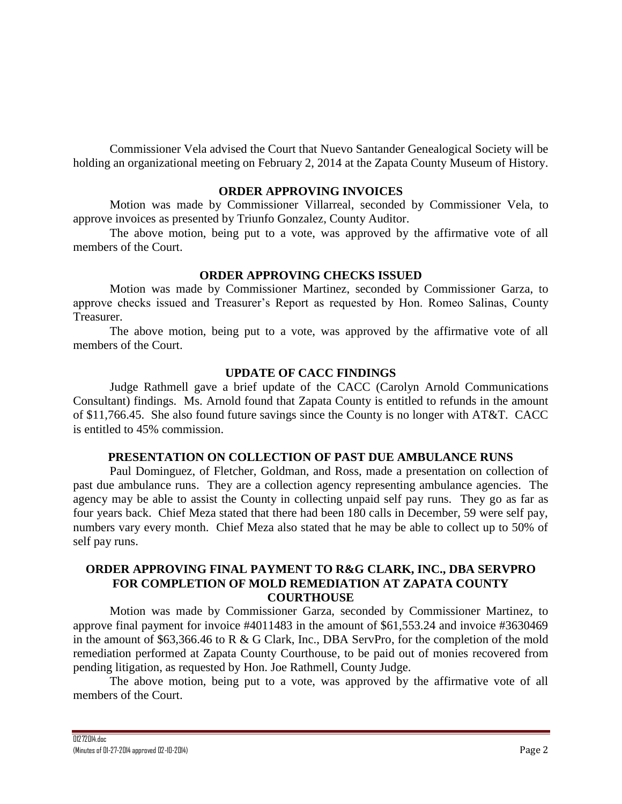Commissioner Vela advised the Court that Nuevo Santander Genealogical Society will be holding an organizational meeting on February 2, 2014 at the Zapata County Museum of History.

### **ORDER APPROVING INVOICES**

Motion was made by Commissioner Villarreal, seconded by Commissioner Vela, to approve invoices as presented by Triunfo Gonzalez, County Auditor.

The above motion, being put to a vote, was approved by the affirmative vote of all members of the Court.

## **ORDER APPROVING CHECKS ISSUED**

Motion was made by Commissioner Martinez, seconded by Commissioner Garza, to approve checks issued and Treasurer's Report as requested by Hon. Romeo Salinas, County Treasurer.

The above motion, being put to a vote, was approved by the affirmative vote of all members of the Court.

## **UPDATE OF CACC FINDINGS**

Judge Rathmell gave a brief update of the CACC (Carolyn Arnold Communications Consultant) findings. Ms. Arnold found that Zapata County is entitled to refunds in the amount of \$11,766.45. She also found future savings since the County is no longer with AT&T. CACC is entitled to 45% commission.

#### **PRESENTATION ON COLLECTION OF PAST DUE AMBULANCE RUNS**

Paul Dominguez, of Fletcher, Goldman, and Ross, made a presentation on collection of past due ambulance runs. They are a collection agency representing ambulance agencies. The agency may be able to assist the County in collecting unpaid self pay runs. They go as far as four years back. Chief Meza stated that there had been 180 calls in December, 59 were self pay, numbers vary every month. Chief Meza also stated that he may be able to collect up to 50% of self pay runs.

# **ORDER APPROVING FINAL PAYMENT TO R&G CLARK, INC., DBA SERVPRO FOR COMPLETION OF MOLD REMEDIATION AT ZAPATA COUNTY COURTHOUSE**

Motion was made by Commissioner Garza, seconded by Commissioner Martinez, to approve final payment for invoice #4011483 in the amount of \$61,553.24 and invoice #3630469 in the amount of \$63,366.46 to R & G Clark, Inc., DBA ServPro, for the completion of the mold remediation performed at Zapata County Courthouse, to be paid out of monies recovered from pending litigation, as requested by Hon. Joe Rathmell, County Judge.

The above motion, being put to a vote, was approved by the affirmative vote of all members of the Court.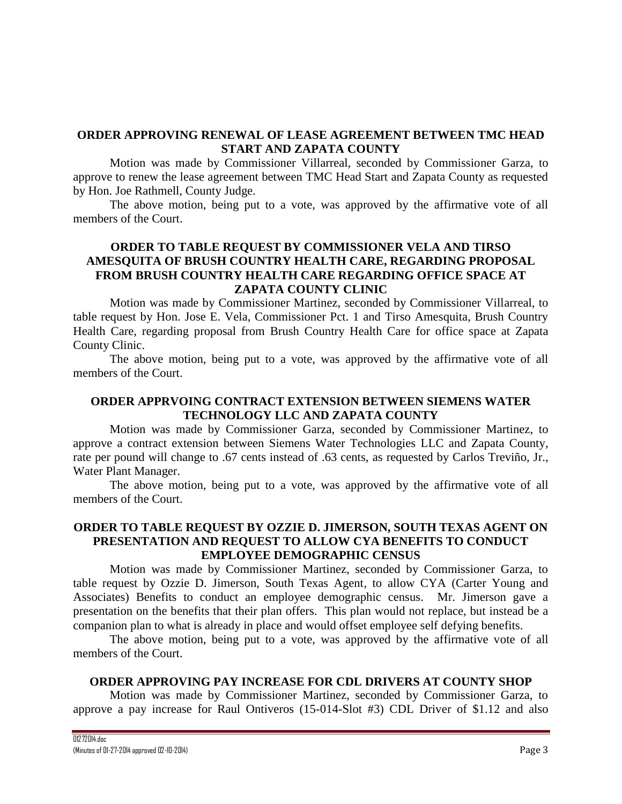## **ORDER APPROVING RENEWAL OF LEASE AGREEMENT BETWEEN TMC HEAD START AND ZAPATA COUNTY**

Motion was made by Commissioner Villarreal, seconded by Commissioner Garza, to approve to renew the lease agreement between TMC Head Start and Zapata County as requested by Hon. Joe Rathmell, County Judge.

The above motion, being put to a vote, was approved by the affirmative vote of all members of the Court.

# **ORDER TO TABLE REQUEST BY COMMISSIONER VELA AND TIRSO AMESQUITA OF BRUSH COUNTRY HEALTH CARE, REGARDING PROPOSAL FROM BRUSH COUNTRY HEALTH CARE REGARDING OFFICE SPACE AT ZAPATA COUNTY CLINIC**

Motion was made by Commissioner Martinez, seconded by Commissioner Villarreal, to table request by Hon. Jose E. Vela, Commissioner Pct. 1 and Tirso Amesquita, Brush Country Health Care, regarding proposal from Brush Country Health Care for office space at Zapata County Clinic.

The above motion, being put to a vote, was approved by the affirmative vote of all members of the Court.

## **ORDER APPRVOING CONTRACT EXTENSION BETWEEN SIEMENS WATER TECHNOLOGY LLC AND ZAPATA COUNTY**

Motion was made by Commissioner Garza, seconded by Commissioner Martinez, to approve a contract extension between Siemens Water Technologies LLC and Zapata County, rate per pound will change to .67 cents instead of .63 cents, as requested by Carlos Treviño, Jr., Water Plant Manager.

The above motion, being put to a vote, was approved by the affirmative vote of all members of the Court.

# **ORDER TO TABLE REQUEST BY OZZIE D. JIMERSON, SOUTH TEXAS AGENT ON PRESENTATION AND REQUEST TO ALLOW CYA BENEFITS TO CONDUCT EMPLOYEE DEMOGRAPHIC CENSUS**

Motion was made by Commissioner Martinez, seconded by Commissioner Garza, to table request by Ozzie D. Jimerson, South Texas Agent, to allow CYA (Carter Young and Associates) Benefits to conduct an employee demographic census. Mr. Jimerson gave a presentation on the benefits that their plan offers. This plan would not replace, but instead be a companion plan to what is already in place and would offset employee self defying benefits.

The above motion, being put to a vote, was approved by the affirmative vote of all members of the Court.

## **ORDER APPROVING PAY INCREASE FOR CDL DRIVERS AT COUNTY SHOP**

Motion was made by Commissioner Martinez, seconded by Commissioner Garza, to approve a pay increase for Raul Ontiveros (15-014-Slot #3) CDL Driver of \$1.12 and also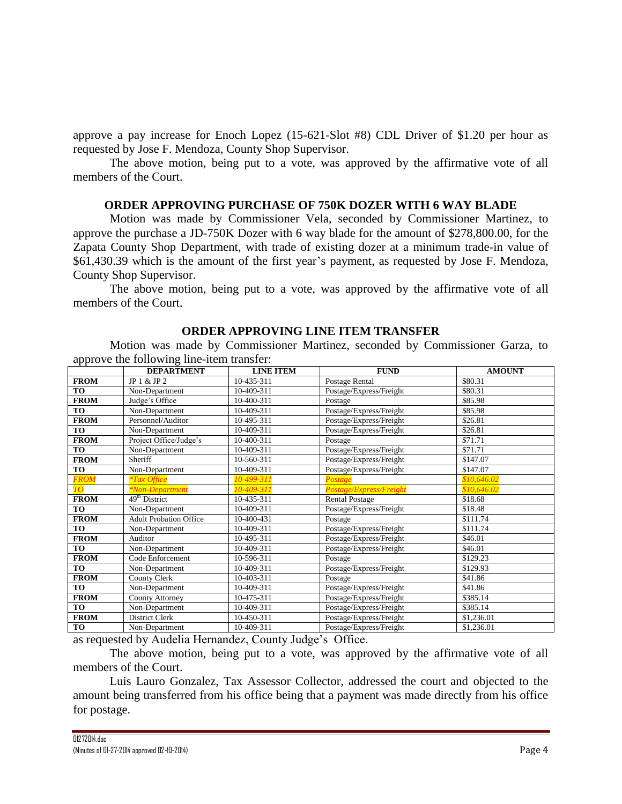approve a pay increase for Enoch Lopez (15-621-Slot #8) CDL Driver of \$1.20 per hour as requested by Jose F. Mendoza, County Shop Supervisor.

The above motion, being put to a vote, was approved by the affirmative vote of all members of the Court.

#### **ORDER APPROVING PURCHASE OF 750K DOZER WITH 6 WAY BLADE**

Motion was made by Commissioner Vela, seconded by Commissioner Martinez, to approve the purchase a JD-750K Dozer with 6 way blade for the amount of \$278,800.00, for the Zapata County Shop Department, with trade of existing dozer at a minimum trade-in value of \$61,430.39 which is the amount of the first year's payment, as requested by Jose F. Mendoza, County Shop Supervisor.

The above motion, being put to a vote, was approved by the affirmative vote of all members of the Court.

#### **ORDER APPROVING LINE ITEM TRANSFER**

Motion was made by Commissioner Martinez, seconded by Commissioner Garza, to approve the following line-item transfer:

|                 | <b>DEPARTMENT</b>             | <b>LINE ITEM</b> | <b>FUND</b>             | <b>AMOUNT</b> |
|-----------------|-------------------------------|------------------|-------------------------|---------------|
| <b>FROM</b>     | JP 1 & JP 2                   | 10-435-311       | Postage Rental          | \$80.31       |
| <b>TO</b>       | Non-Department                | 10-409-311       | Postage/Express/Freight | \$80.31       |
| <b>FROM</b>     | Judge's Office                | 10-400-311       | Postage                 | \$85.98       |
| <b>TO</b>       | Non-Department                | 10-409-311       | Postage/Express/Freight | \$85.98       |
| <b>FROM</b>     | Personnel/Auditor             | 10-495-311       | Postage/Express/Freight | \$26.81       |
| <b>TO</b>       | Non-Department                | 10-409-311       | Postage/Express/Freight | \$26.81       |
| <b>FROM</b>     | Project Office/Judge's        | 10-400-311       | Postage                 | \$71.71       |
| <b>TO</b>       | Non-Department                | 10-409-311       | Postage/Express/Freight | \$71.71       |
| <b>FROM</b>     | Sheriff                       | 10-560-311       | Postage/Express/Freight | \$147.07      |
| TO              | Non-Department                | 10-409-311       | Postage/Express/Freight | \$147.07      |
| <b>FROM</b>     | <i>*Tax Office</i>            | 10-499-311       | Postage                 | \$10,646.02   |
| TO <sub>1</sub> | <i><b>*Non-Department</b></i> | 10-409-311       | Postage/Express/Freight | \$10,646.02   |
| <b>FROM</b>     | $49th$ District               | 10-435-311       | <b>Rental Postage</b>   | \$18.68       |
| <b>TO</b>       | Non-Department                | 10-409-311       | Postage/Express/Freight | \$18.48       |
| <b>FROM</b>     | <b>Adult Probation Office</b> | 10-400-431       | Postage                 | \$111.74      |
| <b>TO</b>       | Non-Department                | 10-409-311       | Postage/Express/Freight | \$111.74      |
| <b>FROM</b>     | Auditor                       | 10-495-311       | Postage/Express/Freight | \$46.01       |
| <b>TO</b>       | Non-Department                | 10-409-311       | Postage/Express/Freight | \$46.01       |
| <b>FROM</b>     | Code Enforcement              | 10-596-311       | Postage                 | \$129.23      |
| <b>TO</b>       | Non-Department                | 10-409-311       | Postage/Express/Freight | \$129.93      |
| <b>FROM</b>     | County Clerk                  | 10-403-311       | Postage                 | \$41.86       |
| <b>TO</b>       | Non-Department                | 10-409-311       | Postage/Express/Freight | \$41.86       |
| <b>FROM</b>     | County Attorney               | 10-475-311       | Postage/Express/Freight | \$385.14      |
| <b>TO</b>       | Non-Department                | 10-409-311       | Postage/Express/Freight | \$385.14      |
| <b>FROM</b>     | District Clerk                | 10-450-311       | Postage/Express/Freight | \$1,236.01    |
| <b>TO</b>       | Non-Department                | 10-409-311       | Postage/Express/Freight | \$1,236.01    |

as requested by Audelia Hernandez, County Judge's Office.

The above motion, being put to a vote, was approved by the affirmative vote of all members of the Court.

Luis Lauro Gonzalez, Tax Assessor Collector, addressed the court and objected to the amount being transferred from his office being that a payment was made directly from his office for postage.